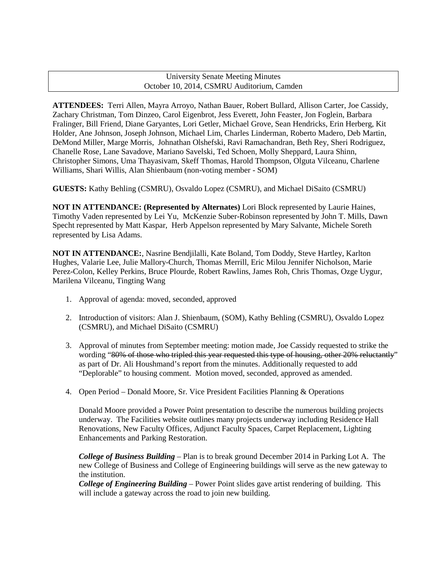## University Senate Meeting Minutes October 10, 2014, CSMRU Auditorium, Camden

**ATTENDEES:** Terri Allen, Mayra Arroyo, Nathan Bauer, Robert Bullard, Allison Carter, Joe Cassidy, Zachary Christman, Tom Dinzeo, Carol Eigenbrot, Jess Everett, John Feaster, Jon Foglein, Barbara Fralinger, Bill Friend, Diane Garyantes, Lori Getler, Michael Grove, Sean Hendricks, Erin Herberg, Kit Holder, Ane Johnson, Joseph Johnson, Michael Lim, Charles Linderman, Roberto Madero, Deb Martin, DeMond Miller, Marge Morris, Johnathan Olshefski, Ravi Ramachandran, Beth Rey, Sheri Rodriguez, Chanelle Rose, Lane Savadove, Mariano Savelski, Ted Schoen, Molly Sheppard, Laura Shinn, Christopher Simons, Uma Thayasivam, Skeff Thomas, Harold Thompson, Olguta Vilceanu, Charlene Williams, Shari Willis, Alan Shienbaum (non-voting member - SOM)

**GUESTS:** Kathy Behling (CSMRU), Osvaldo Lopez (CSMRU), and Michael DiSaito (CSMRU)

**NOT IN ATTENDANCE: (Represented by Alternates)** Lori Block represented by Laurie Haines, Timothy Vaden represented by Lei Yu, McKenzie Suber-Robinson represented by John T. Mills, Dawn Specht represented by Matt Kaspar, Herb Appelson represented by Mary Salvante, Michele Soreth represented by Lisa Adams.

**NOT IN ATTENDANCE:**, Nasrine Bendjilalli, Kate Boland, Tom Doddy, Steve Hartley, Karlton Hughes, Valarie Lee, Julie Mallory-Church, Thomas Merrill, Eric Milou Jennifer Nicholson, Marie Perez-Colon, Kelley Perkins, Bruce Plourde, Robert Rawlins, James Roh, Chris Thomas, Ozge Uygur, Marilena Vilceanu, Tingting Wang

- 1. Approval of agenda: moved, seconded, approved
- 2. Introduction of visitors: Alan J. Shienbaum, (SOM), Kathy Behling (CSMRU), Osvaldo Lopez (CSMRU), and Michael DiSaito (CSMRU)
- 3. Approval of minutes from September meeting: motion made, Joe Cassidy requested to strike the wording "80% of those who tripled this year requested this type of housing, other 20% reluctantly" as part of Dr. Ali Houshmand's report from the minutes. Additionally requested to add "Deplorable" to housing comment. Motion moved, seconded, approved as amended.
- 4. Open Period Donald Moore, Sr. Vice President Facilities Planning & Operations

Donald Moore provided a Power Point presentation to describe the numerous building projects underway. The Facilities website outlines many projects underway including Residence Hall Renovations, New Faculty Offices, Adjunct Faculty Spaces, Carpet Replacement, Lighting Enhancements and Parking Restoration.

*College of Business Building* – Plan is to break ground December 2014 in Parking Lot A. The new College of Business and College of Engineering buildings will serve as the new gateway to the institution.

*College of Engineering Building* – Power Point slides gave artist rendering of building. This will include a gateway across the road to join new building.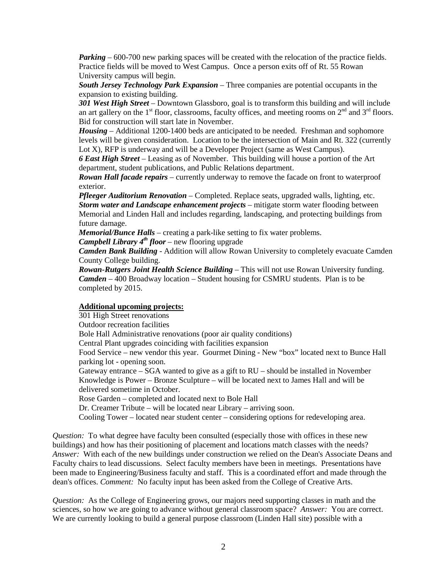*Parking* – 600-700 new parking spaces will be created with the relocation of the practice fields. Practice fields will be moved to West Campus. Once a person exits off of Rt. 55 Rowan University campus will begin.

*South Jersey Technology Park Expansion* – Three companies are potential occupants in the expansion to existing building.

*301 West High Street* – Downtown Glassboro, goal is to transform this building and will include an art gallery on the  $1<sup>st</sup>$  floor, classrooms, faculty offices, and meeting rooms on  $2<sup>nd</sup>$  and  $3<sup>rd</sup>$  floors. Bid for construction will start late in November.

*Housing* – Additional 1200-1400 beds are anticipated to be needed. Freshman and sophomore levels will be given consideration. Location to be the intersection of Main and Rt. 322 (currently Lot X), RFP is underway and will be a Developer Project (same as West Campus).

*6 East High Street* – Leasing as of November. This building will house a portion of the Art department, student publications, and Public Relations department.

*Rowan Hall facade repairs* – currently underway to remove the facade on front to waterproof exterior.

*Pfleeger Auditorium Renovation* – Completed. Replace seats, upgraded walls, lighting, etc. *Storm water and Landscape enhancement projects* – mitigate storm water flooding between Memorial and Linden Hall and includes regarding, landscaping, and protecting buildings from future damage.

*Memorial/Bunce Halls* – creating a park-like setting to fix water problems.

*Campbell Library 4th floor* – new flooring upgrade

*Camden Bank Building* - Addition will allow Rowan University to completely evacuate Camden County College building.

*Rowan-Rutgers Joint Health Science Building* – This will not use Rowan University funding. *Camden* – 400 Broadway location – Student housing for CSMRU students. Plan is to be completed by 2015.

## **Additional upcoming projects:**

301 High Street renovations Outdoor recreation facilities Bole Hall Administrative renovations (poor air quality conditions) Central Plant upgrades coinciding with facilities expansion Food Service – new vendor this year. Gourmet Dining - New "box" located next to Bunce Hall parking lot - opening soon. Gateway entrance – SGA wanted to give as a gift to RU – should be installed in November Knowledge is Power – Bronze Sculpture – will be located next to James Hall and will be delivered sometime in October. Rose Garden – completed and located next to Bole Hall Dr. Creamer Tribute – will be located near Library – arriving soon. Cooling Tower – located near student center – considering options for redeveloping area.

*Question:* To what degree have faculty been consulted (especially those with offices in these new buildings) and how has their positioning of placement and locations match classes with the needs? *Answer:* With each of the new buildings under construction we relied on the Dean's Associate Deans and Faculty chairs to lead discussions. Select faculty members have been in meetings. Presentations have been made to Engineering/Business faculty and staff. This is a coordinated effort and made through the dean's offices. *Comment:* No faculty input has been asked from the College of Creative Arts.

*Question:* As the College of Engineering grows, our majors need supporting classes in math and the sciences, so how we are going to advance without general classroom space? *Answer:* You are correct. We are currently looking to build a general purpose classroom (Linden Hall site) possible with a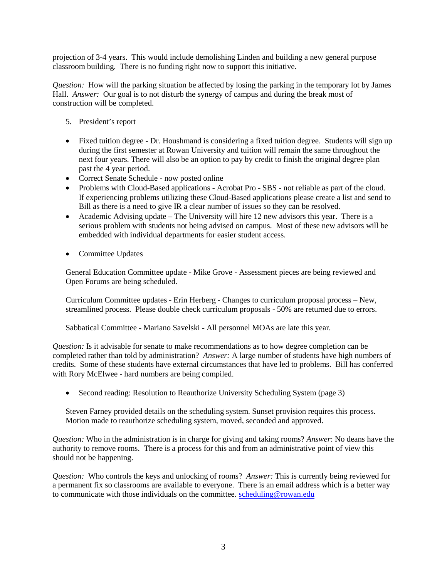projection of 3-4 years. This would include demolishing Linden and building a new general purpose classroom building. There is no funding right now to support this initiative.

*Question:* How will the parking situation be affected by losing the parking in the temporary lot by James Hall. *Answer*: Our goal is to not disturb the synergy of campus and during the break most of construction will be completed.

- 5. President's report
- Fixed tuition degree Dr. Houshmand is considering a fixed tuition degree. Students will sign up during the first semester at Rowan University and tuition will remain the same throughout the next four years. There will also be an option to pay by credit to finish the original degree plan past the 4 year period.
- Correct Senate Schedule now posted online
- Problems with Cloud-Based applications Acrobat Pro SBS not reliable as part of the cloud. If experiencing problems utilizing these Cloud-Based applications please create a list and send to Bill as there is a need to give IR a clear number of issues so they can be resolved.
- Academic Advising update The University will hire 12 new advisors this year. There is a serious problem with students not being advised on campus. Most of these new advisors will be embedded with individual departments for easier student access.
- Committee Updates

General Education Committee update - Mike Grove - Assessment pieces are being reviewed and Open Forums are being scheduled.

Curriculum Committee updates - Erin Herberg - Changes to curriculum proposal process – New, streamlined process. Please double check curriculum proposals - 50% are returned due to errors.

Sabbatical Committee - Mariano Savelski - All personnel MOAs are late this year.

*Question:* Is it advisable for senate to make recommendations as to how degree completion can be completed rather than told by administration? *Answer:* A large number of students have high numbers of credits. Some of these students have external circumstances that have led to problems. Bill has conferred with Rory McElwee - hard numbers are being compiled.

• Second reading: Resolution to Reauthorize University Scheduling System (page 3)

Steven Farney provided details on the scheduling system. Sunset provision requires this process. Motion made to reauthorize scheduling system, moved, seconded and approved.

*Question:* Who in the administration is in charge for giving and taking rooms? *Answer*: No deans have the authority to remove rooms. There is a process for this and from an administrative point of view this should not be happening.

*Question:* Who controls the keys and unlocking of rooms? *Answer:* This is currently being reviewed for a permanent fix so classrooms are available to everyone. There is an email address which is a better way to communicate with those individuals on the committee. [scheduling@rowan.edu](mailto:scheduling@rowan.edu)